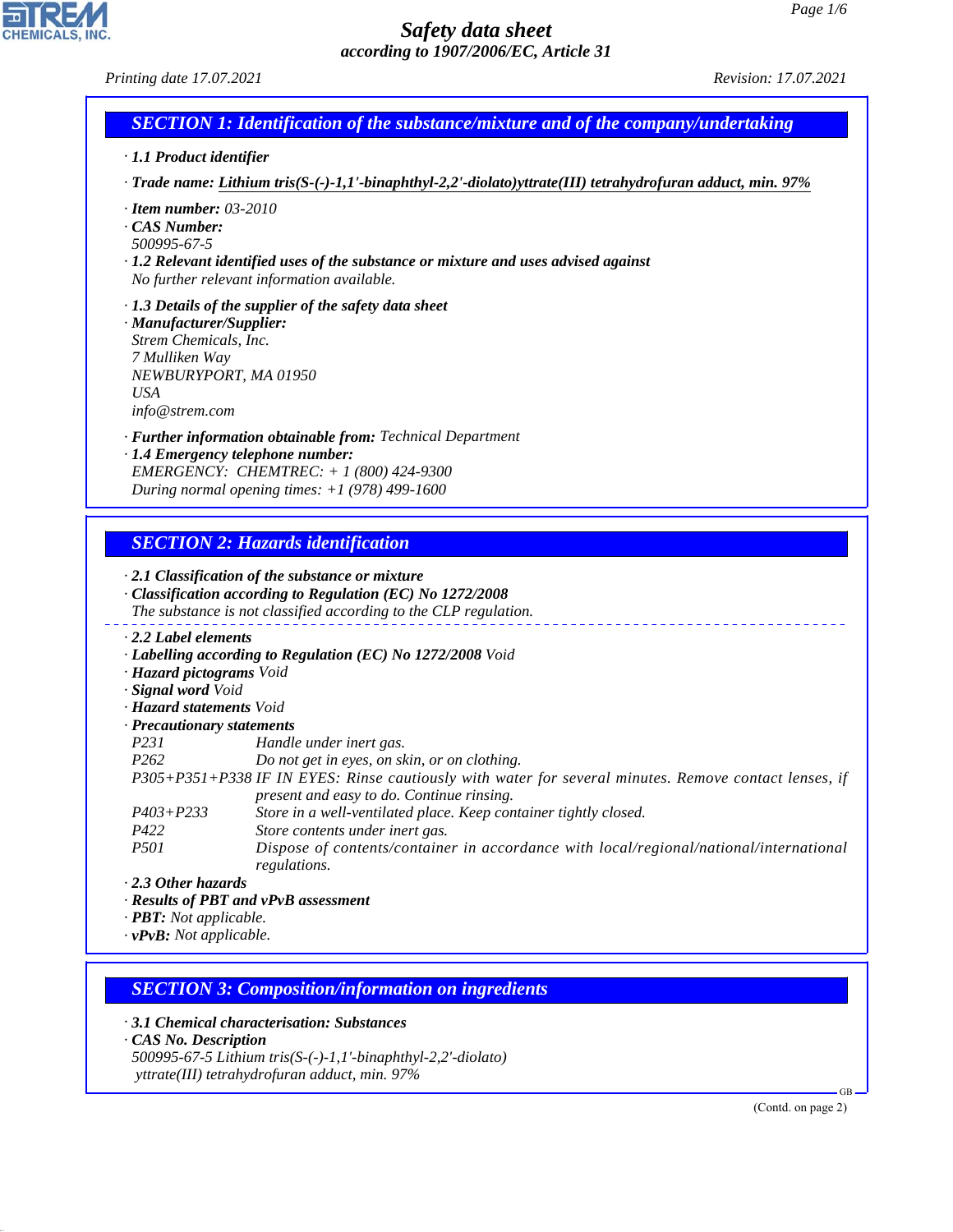*Printing date 17.07.2021 Revision: 17.07.2021*

# *SECTION 1: Identification of the substance/mixture and of the company/undertaking*

- *· 1.1 Product identifier*
- *· Trade name: Lithium tris(S-(-)-1,1'-binaphthyl-2,2'-diolato)yttrate(III) tetrahydrofuran adduct, min. 97%*
- *· Item number: 03-2010*
- *· CAS Number:*
- *500995-67-5*
- *· 1.2 Relevant identified uses of the substance or mixture and uses advised against No further relevant information available.*
- *· 1.3 Details of the supplier of the safety data sheet · Manufacturer/Supplier:*
- *Strem Chemicals, Inc. 7 Mulliken Way NEWBURYPORT, MA 01950 USA info@strem.com*
- *· Further information obtainable from: Technical Department*
- *· 1.4 Emergency telephone number: EMERGENCY: CHEMTREC: + 1 (800) 424-9300 During normal opening times: +1 (978) 499-1600*

### *SECTION 2: Hazards identification*

#### *· 2.1 Classification of the substance or mixture · Classification according to Regulation (EC) No 1272/2008 The substance is not classified according to the CLP regulation. · 2.2 Label elements · Labelling according to Regulation (EC) No 1272/2008 Void · Hazard pictograms Void · Signal word Void · Hazard statements Void · Precautionary statements P231 Handle under inert gas. P262 Do not get in eyes, on skin, or on clothing. P305+P351+P338 IF IN EYES: Rinse cautiously with water for several minutes. Remove contact lenses, if present and easy to do. Continue rinsing. P403+P233 Store in a well-ventilated place. Keep container tightly closed. P422 Store contents under inert gas. P501 Dispose of contents/container in accordance with local/regional/national/international regulations. · 2.3 Other hazards*

- *· Results of PBT and vPvB assessment*
- *· PBT: Not applicable.*
- *· vPvB: Not applicable.*

### *SECTION 3: Composition/information on ingredients*

*· 3.1 Chemical characterisation: Substances*

*· CAS No. Description*

44.1.1

*500995-67-5 Lithium tris(S-(-)-1,1'-binaphthyl-2,2'-diolato) yttrate(III) tetrahydrofuran adduct, min. 97%*

(Contd. on page 2)

GB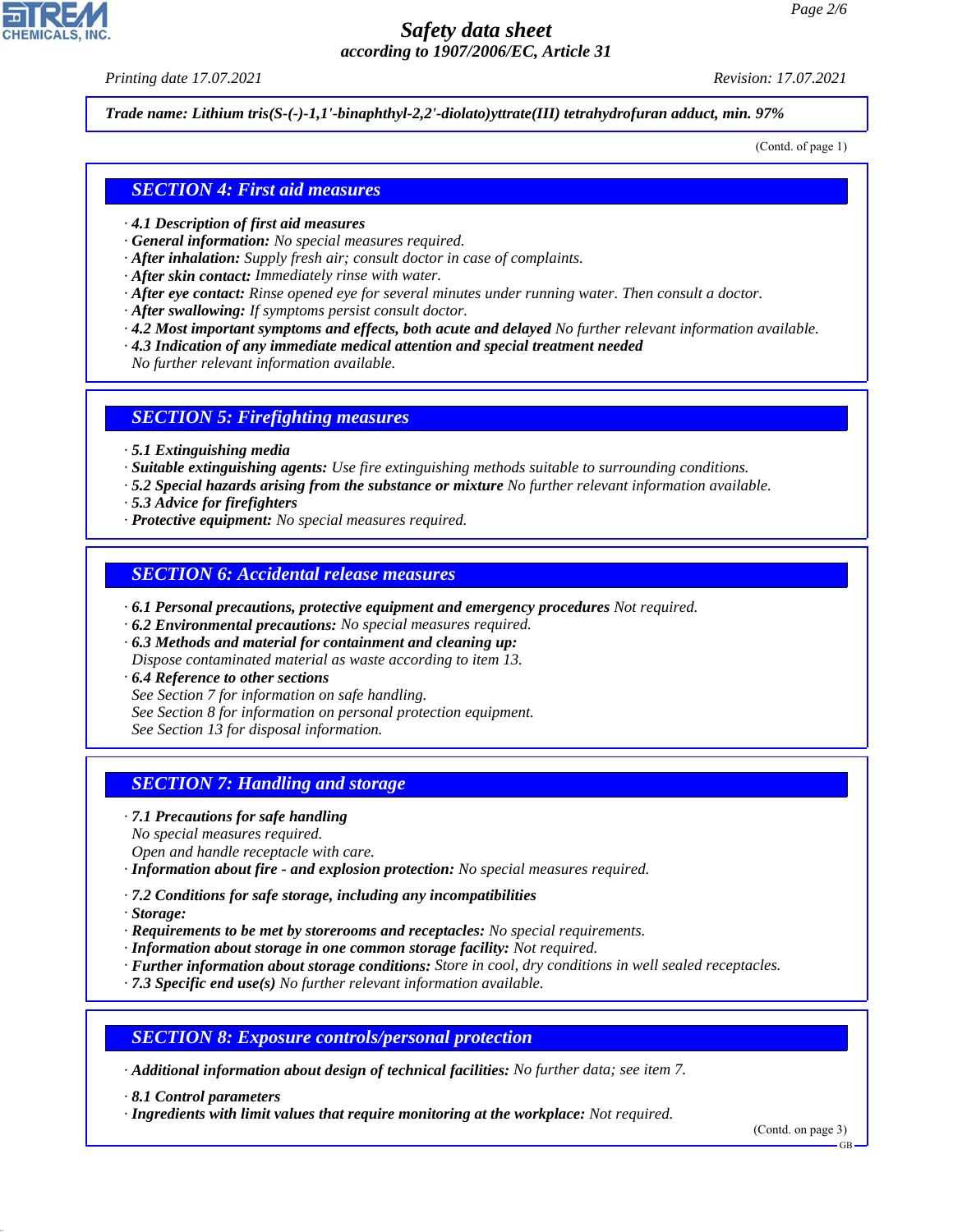*Printing date 17.07.2021 Revision: 17.07.2021*

*Trade name: Lithium tris(S-(-)-1,1'-binaphthyl-2,2'-diolato)yttrate(III) tetrahydrofuran adduct, min. 97%*

(Contd. of page 1)

#### *SECTION 4: First aid measures*

- *· 4.1 Description of first aid measures*
- *· General information: No special measures required.*
- *· After inhalation: Supply fresh air; consult doctor in case of complaints.*
- *· After skin contact: Immediately rinse with water.*
- *· After eye contact: Rinse opened eye for several minutes under running water. Then consult a doctor.*
- *· After swallowing: If symptoms persist consult doctor.*
- *· 4.2 Most important symptoms and effects, both acute and delayed No further relevant information available.*
- *· 4.3 Indication of any immediate medical attention and special treatment needed*
- *No further relevant information available.*

#### *SECTION 5: Firefighting measures*

- *· 5.1 Extinguishing media*
- *· Suitable extinguishing agents: Use fire extinguishing methods suitable to surrounding conditions.*
- *· 5.2 Special hazards arising from the substance or mixture No further relevant information available.*
- *· 5.3 Advice for firefighters*
- *· Protective equipment: No special measures required.*

#### *SECTION 6: Accidental release measures*

- *· 6.1 Personal precautions, protective equipment and emergency procedures Not required.*
- *· 6.2 Environmental precautions: No special measures required.*
- *· 6.3 Methods and material for containment and cleaning up:*
- *Dispose contaminated material as waste according to item 13.*
- *· 6.4 Reference to other sections*
- *See Section 7 for information on safe handling.*
- *See Section 8 for information on personal protection equipment.*
- *See Section 13 for disposal information.*

#### *SECTION 7: Handling and storage*

- *· 7.1 Precautions for safe handling*
- *No special measures required.*
- *Open and handle receptacle with care.*
- *· Information about fire and explosion protection: No special measures required.*
- *· 7.2 Conditions for safe storage, including any incompatibilities*
- *· Storage:*

44.1.1

- *· Requirements to be met by storerooms and receptacles: No special requirements.*
- *· Information about storage in one common storage facility: Not required.*
- *· Further information about storage conditions: Store in cool, dry conditions in well sealed receptacles.*
- *· 7.3 Specific end use(s) No further relevant information available.*

*SECTION 8: Exposure controls/personal protection*

*· Additional information about design of technical facilities: No further data; see item 7.*

*· 8.1 Control parameters*

*· Ingredients with limit values that require monitoring at the workplace: Not required.*

(Contd. on page 3)

GB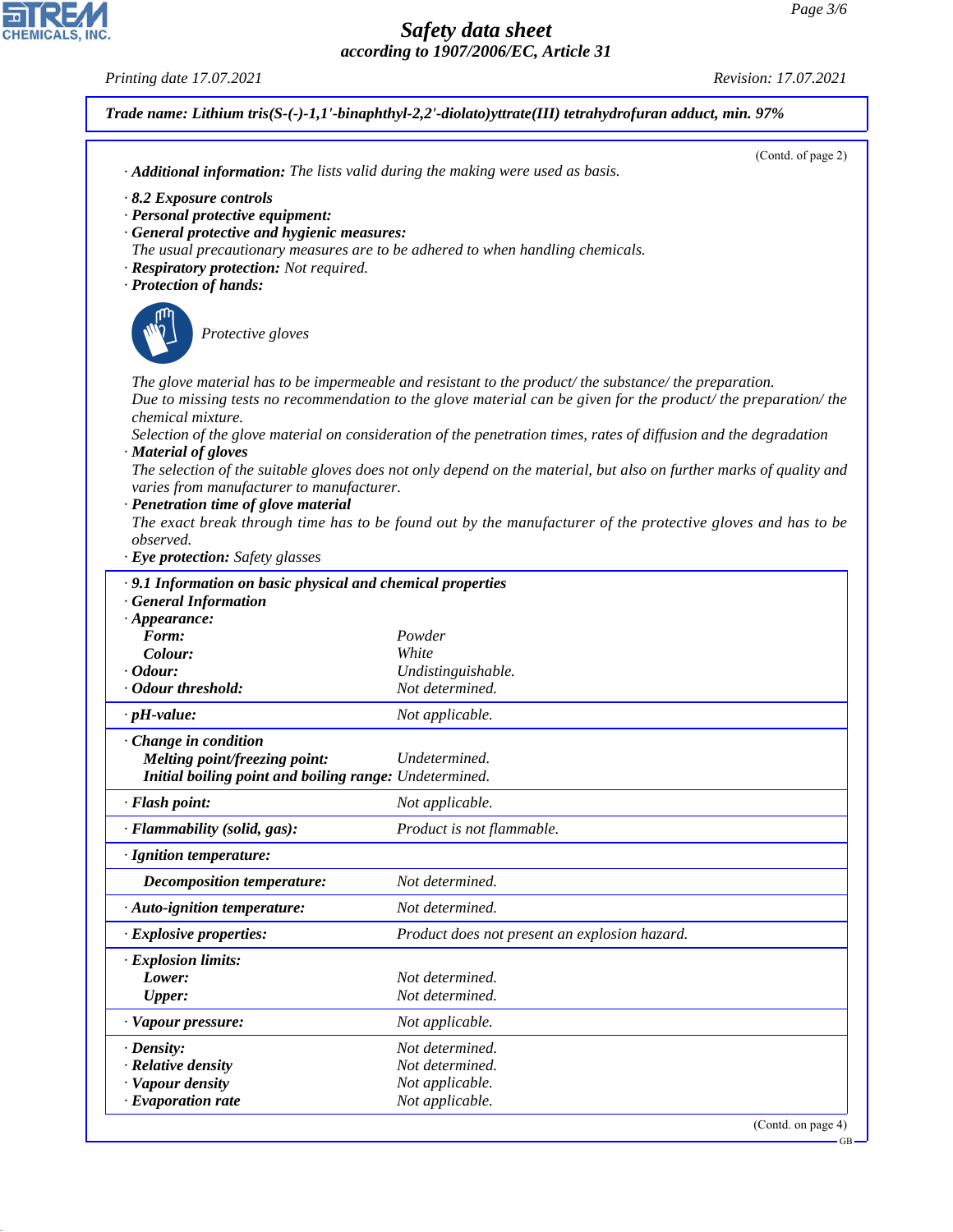GB

# *Safety data sheet according to 1907/2006/EC, Article 31*

*Printing date 17.07.2021 Revision: 17.07.2021*

CHEMICALS, INC.

44.1.1

|                                                            | Trade name: Lithium tris(S-(-)-1,1'-binaphthyl-2,2'-diolato)yttrate(III) tetrahydrofuran adduct, min. 97%                                                                                                             |  |  |
|------------------------------------------------------------|-----------------------------------------------------------------------------------------------------------------------------------------------------------------------------------------------------------------------|--|--|
|                                                            | (Contd. of page 2)                                                                                                                                                                                                    |  |  |
|                                                            | · Additional information: The lists valid during the making were used as basis.                                                                                                                                       |  |  |
| 8.2 Exposure controls                                      |                                                                                                                                                                                                                       |  |  |
| · Personal protective equipment:                           |                                                                                                                                                                                                                       |  |  |
| · General protective and hygienic measures:                | The usual precautionary measures are to be adhered to when handling chemicals.                                                                                                                                        |  |  |
| · Respiratory protection: Not required.                    |                                                                                                                                                                                                                       |  |  |
| · Protection of hands:                                     |                                                                                                                                                                                                                       |  |  |
|                                                            |                                                                                                                                                                                                                       |  |  |
| Protective gloves                                          |                                                                                                                                                                                                                       |  |  |
|                                                            |                                                                                                                                                                                                                       |  |  |
|                                                            |                                                                                                                                                                                                                       |  |  |
|                                                            | The glove material has to be impermeable and resistant to the product/the substance/the preparation.<br>Due to missing tests no recommendation to the glove material can be given for the product/the preparation/the |  |  |
| chemical mixture.                                          |                                                                                                                                                                                                                       |  |  |
|                                                            | Selection of the glove material on consideration of the penetration times, rates of diffusion and the degradation                                                                                                     |  |  |
| · Material of gloves                                       |                                                                                                                                                                                                                       |  |  |
|                                                            | The selection of the suitable gloves does not only depend on the material, but also on further marks of quality and                                                                                                   |  |  |
| varies from manufacturer to manufacturer.                  |                                                                                                                                                                                                                       |  |  |
| · Penetration time of glove material                       | The exact break through time has to be found out by the manufacturer of the protective gloves and has to be                                                                                                           |  |  |
| <i>observed.</i>                                           |                                                                                                                                                                                                                       |  |  |
| · Eye protection: Safety glasses                           |                                                                                                                                                                                                                       |  |  |
| <b>General Information</b><br>$\cdot$ Appearance:<br>Form: | Powder                                                                                                                                                                                                                |  |  |
| Colour:                                                    | White                                                                                                                                                                                                                 |  |  |
| $\cdot$ Odour:                                             | Undistinguishable.                                                                                                                                                                                                    |  |  |
| · Odour threshold:                                         | Not determined.                                                                                                                                                                                                       |  |  |
| $\cdot$ pH-value:                                          | Not applicable.                                                                                                                                                                                                       |  |  |
| Change in condition                                        |                                                                                                                                                                                                                       |  |  |
| Melting point/freezing point:                              | Undetermined.                                                                                                                                                                                                         |  |  |
| Initial boiling point and boiling range: Undetermined.     |                                                                                                                                                                                                                       |  |  |
| · Flash point:                                             | Not applicable.                                                                                                                                                                                                       |  |  |
| · Flammability (solid, gas):                               | Product is not flammable.                                                                                                                                                                                             |  |  |
| · Ignition temperature:                                    |                                                                                                                                                                                                                       |  |  |
| <b>Decomposition temperature:</b>                          | Not determined.                                                                                                                                                                                                       |  |  |
| · Auto-ignition temperature:                               | Not determined.                                                                                                                                                                                                       |  |  |
| · Explosive properties:                                    | Product does not present an explosion hazard.                                                                                                                                                                         |  |  |
| · Explosion limits:                                        |                                                                                                                                                                                                                       |  |  |
| Lower:                                                     | Not determined.                                                                                                                                                                                                       |  |  |
| <b>Upper:</b>                                              | Not determined.                                                                                                                                                                                                       |  |  |
| · Vapour pressure:                                         | Not applicable.                                                                                                                                                                                                       |  |  |
| $\cdot$ Density:                                           | Not determined.                                                                                                                                                                                                       |  |  |
| · Relative density                                         | Not determined.                                                                                                                                                                                                       |  |  |
| · Vapour density                                           | Not applicable.<br>Not applicable.                                                                                                                                                                                    |  |  |
| $\cdot$ Evaporation rate                                   |                                                                                                                                                                                                                       |  |  |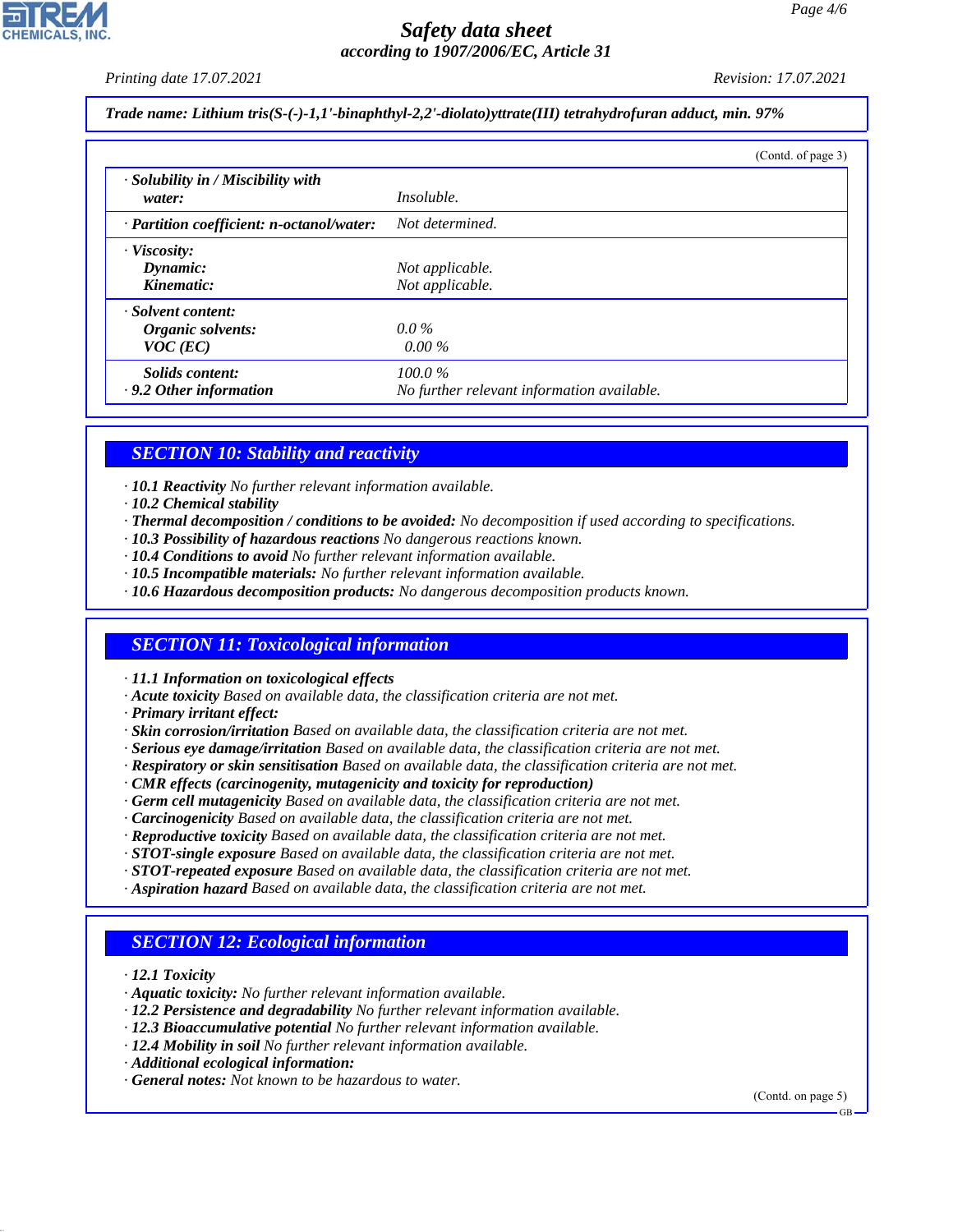*Printing date 17.07.2021 Revision: 17.07.2021*

*Trade name: Lithium tris(S-(-)-1,1'-binaphthyl-2,2'-diolato)yttrate(III) tetrahydrofuran adduct, min. 97%*

|                                                       |                                                         | (Contd. of page 3) |
|-------------------------------------------------------|---------------------------------------------------------|--------------------|
| $\cdot$ Solubility in / Miscibility with<br>water:    | <i>Insoluble.</i>                                       |                    |
| $\cdot$ Partition coefficient: n-octanol/water:       | Not determined.                                         |                    |
| · Viscosity:<br>Dynamic:<br>Kinematic:                | Not applicable.<br>Not applicable.                      |                    |
| · Solvent content:<br>Organic solvents:<br>$VOC$ (EC) | $0.0\%$<br>$0.00\%$                                     |                    |
| Solids content:<br>$\cdot$ 9.2 Other information      | $100.0\%$<br>No further relevant information available. |                    |

### *SECTION 10: Stability and reactivity*

*· 10.1 Reactivity No further relevant information available.*

- *· 10.2 Chemical stability*
- *· Thermal decomposition / conditions to be avoided: No decomposition if used according to specifications.*
- *· 10.3 Possibility of hazardous reactions No dangerous reactions known.*
- *· 10.4 Conditions to avoid No further relevant information available.*
- *· 10.5 Incompatible materials: No further relevant information available.*
- *· 10.6 Hazardous decomposition products: No dangerous decomposition products known.*

#### *SECTION 11: Toxicological information*

*· 11.1 Information on toxicological effects*

- *· Acute toxicity Based on available data, the classification criteria are not met.*
- *· Primary irritant effect:*
- *· Skin corrosion/irritation Based on available data, the classification criteria are not met.*
- *· Serious eye damage/irritation Based on available data, the classification criteria are not met.*
- *· Respiratory or skin sensitisation Based on available data, the classification criteria are not met.*
- *· CMR effects (carcinogenity, mutagenicity and toxicity for reproduction)*
- *· Germ cell mutagenicity Based on available data, the classification criteria are not met.*
- *· Carcinogenicity Based on available data, the classification criteria are not met.*
- *· Reproductive toxicity Based on available data, the classification criteria are not met.*
- *· STOT-single exposure Based on available data, the classification criteria are not met.*
- *· STOT-repeated exposure Based on available data, the classification criteria are not met.*
- *· Aspiration hazard Based on available data, the classification criteria are not met.*

### *SECTION 12: Ecological information*

*· 12.1 Toxicity*

44.1.1

- *· Aquatic toxicity: No further relevant information available.*
- *· 12.2 Persistence and degradability No further relevant information available.*
- *· 12.3 Bioaccumulative potential No further relevant information available.*
- *· 12.4 Mobility in soil No further relevant information available.*
- *· Additional ecological information:*
- *· General notes: Not known to be hazardous to water.*

(Contd. on page 5)

GB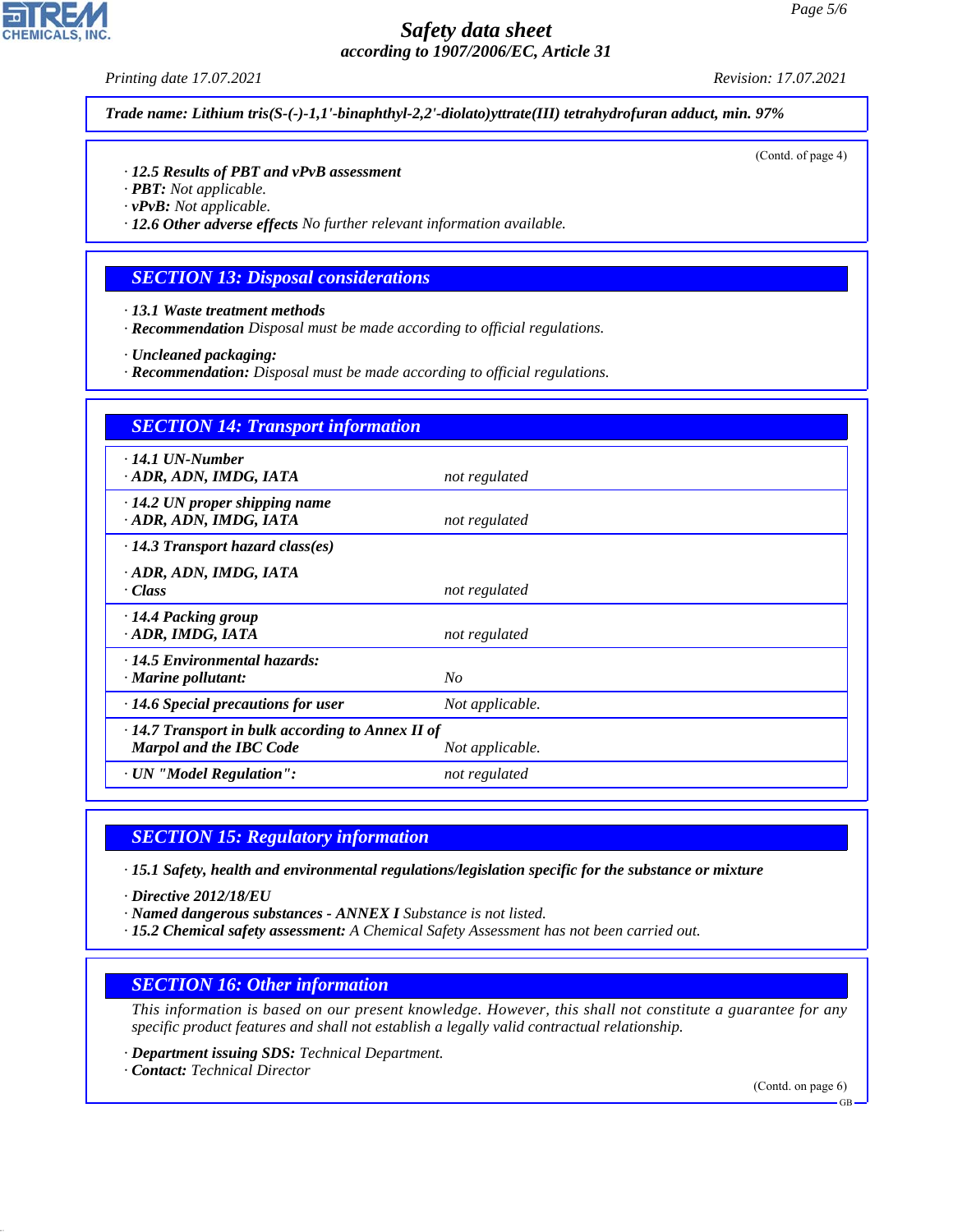*Printing date 17.07.2021 Revision: 17.07.2021*

*Trade name: Lithium tris(S-(-)-1,1'-binaphthyl-2,2'-diolato)yttrate(III) tetrahydrofuran adduct, min. 97%*

(Contd. of page 4)

#### *· 12.5 Results of PBT and vPvB assessment*

- *· PBT: Not applicable.*
- *· vPvB: Not applicable.*

*· 12.6 Other adverse effects No further relevant information available.*

#### *SECTION 13: Disposal considerations*

- *· 13.1 Waste treatment methods*
- *· Recommendation Disposal must be made according to official regulations.*
- *· Uncleaned packaging:*
- *· Recommendation: Disposal must be made according to official regulations.*

| <b>SECTION 14: Transport information</b>                                                  |                 |  |
|-------------------------------------------------------------------------------------------|-----------------|--|
| $\cdot$ 14.1 UN-Number<br>ADR, ADN, IMDG, IATA                                            | not regulated   |  |
| $\cdot$ 14.2 UN proper shipping name<br>ADR, ADN, IMDG, IATA                              | not regulated   |  |
| $\cdot$ 14.3 Transport hazard class(es)                                                   |                 |  |
| ADR, ADN, IMDG, IATA<br>· Class                                                           | not regulated   |  |
| · 14.4 Packing group<br>· ADR, IMDG, IATA                                                 | not regulated   |  |
| · 14.5 Environmental hazards:<br>$\cdot$ Marine pollutant:                                | N <sub>O</sub>  |  |
| $\cdot$ 14.6 Special precautions for user                                                 | Not applicable. |  |
| $\cdot$ 14.7 Transport in bulk according to Annex II of<br><b>Marpol and the IBC Code</b> | Not applicable. |  |
| · UN "Model Regulation":                                                                  | not regulated   |  |

#### *SECTION 15: Regulatory information*

*· 15.1 Safety, health and environmental regulations/legislation specific for the substance or mixture*

*· Directive 2012/18/EU*

- *· Named dangerous substances ANNEX I Substance is not listed.*
- *· 15.2 Chemical safety assessment: A Chemical Safety Assessment has not been carried out.*

### *SECTION 16: Other information*

*This information is based on our present knowledge. However, this shall not constitute a guarantee for any specific product features and shall not establish a legally valid contractual relationship.*

*· Department issuing SDS: Technical Department.*

*· Contact: Technical Director*

44.1.1

(Contd. on page 6)

GB